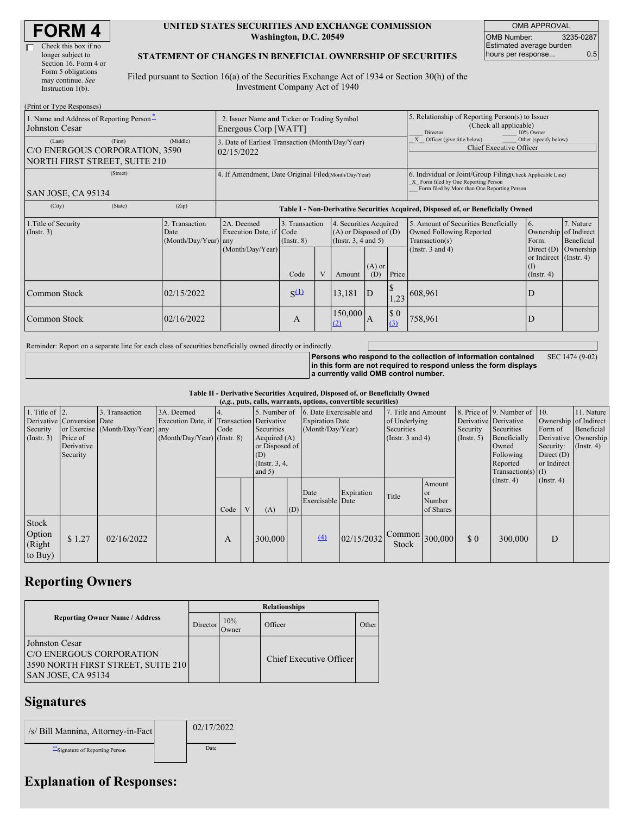#### **UNITED STATES SECURITIES AND EXCHANGE COMMISSION Washington, D.C. 20549**

OMB APPROVAL OMB Number: 3235-0287 Estimated average burden hours per response... 0.5

#### **STATEMENT OF CHANGES IN BENEFICIAL OWNERSHIP OF SECURITIES**

Filed pursuant to Section 16(a) of the Securities Exchange Act of 1934 or Section 30(h) of the Investment Company Act of 1940

| (Print or Type Responses)                                                        |          |                                                                     |                                                                                  |                               |  |                                                                                  |                                                                                |                                                                                                                                                    |                                                                                                             |                                                        |                                      |
|----------------------------------------------------------------------------------|----------|---------------------------------------------------------------------|----------------------------------------------------------------------------------|-------------------------------|--|----------------------------------------------------------------------------------|--------------------------------------------------------------------------------|----------------------------------------------------------------------------------------------------------------------------------------------------|-------------------------------------------------------------------------------------------------------------|--------------------------------------------------------|--------------------------------------|
| 1. Name and Address of Reporting Person-<br>Johnston Cesar                       |          | 2. Issuer Name and Ticker or Trading Symbol<br>Energous Corp [WATT] |                                                                                  |                               |  |                                                                                  |                                                                                | 5. Relationship of Reporting Person(s) to Issuer<br>(Check all applicable)<br>10% Owner<br>Director                                                |                                                                                                             |                                                        |                                      |
| (Last)<br>C/O ENERGOUS CORPORATION, 3590<br><b>NORTH FIRST STREET, SUITE 210</b> | (Middle) | 3. Date of Earliest Transaction (Month/Day/Year)<br>02/15/2022      |                                                                                  |                               |  |                                                                                  | Other (specify below)<br>Officer (give title below)<br>Chief Executive Officer |                                                                                                                                                    |                                                                                                             |                                                        |                                      |
| SAN JOSE, CA 95134                                                               |          | 4. If Amendment, Date Original Filed(Month/Day/Year)                |                                                                                  |                               |  |                                                                                  |                                                                                | 6. Individual or Joint/Group Filing(Check Applicable Line)<br>X Form filed by One Reporting Person<br>Form filed by More than One Reporting Person |                                                                                                             |                                                        |                                      |
| (City)                                                                           | (State)  | (Zip)                                                               | Table I - Non-Derivative Securities Acquired, Disposed of, or Beneficially Owned |                               |  |                                                                                  |                                                                                |                                                                                                                                                    |                                                                                                             |                                                        |                                      |
| 1. Title of Security<br>(Insert. 3)                                              |          | 2. Transaction<br>Date<br>(Month/Day/Year) any                      | 2A. Deemed<br>Execution Date, if Code<br>(Month/Day/Year)                        | 3. Transaction<br>(Insert. 8) |  | 4. Securities Acquired<br>$(A)$ or Disposed of $(D)$<br>(Instr. $3, 4$ and $5$ ) |                                                                                |                                                                                                                                                    | 5. Amount of Securities Beneficially<br>Owned Following Reported<br>Transaction(s)<br>(Instr. $3$ and $4$ ) | 6.<br>Ownership of Indirect<br>Form:<br>Direct $(D)$   | 7. Nature<br>Beneficial<br>Ownership |
|                                                                                  |          |                                                                     |                                                                                  | Code                          |  | Amount                                                                           | $(A)$ or<br>(D)                                                                | Price                                                                                                                                              |                                                                                                             | or Indirect (Instr. 4)<br><sup>(I)</sup><br>(Insert 4) |                                      |
| Common Stock                                                                     |          | 02/15/2022                                                          |                                                                                  | $S^{(1)}$                     |  | 13,181                                                                           | D                                                                              | <sup>\$</sup>                                                                                                                                      | $1.23 \big  608,961$                                                                                        | D                                                      |                                      |
| Common Stock                                                                     |          | 02/16/2022                                                          |                                                                                  | A                             |  | 150,000<br>(2)                                                                   | $\mathbf{A}$                                                                   | $\$$ 0<br>(3)                                                                                                                                      | 758,961                                                                                                     | D                                                      |                                      |

Reminder: Report on a separate line for each class of securities beneficially owned directly or indirectly.

**Persons who respond to the collection of information contained in this form are not required to respond unless the form displays a currently valid OMB control number.** SEC 1474 (9-02)

**Table II - Derivative Securities Acquired, Disposed of, or Beneficially Owned**

| (e.g., puts, calls, warrants, options, convertible securities) |                                                                  |                                                    |                                             |      |                                                                                                                                 |         |     |                                                                                    |            |                                                                             |                                                |                                                  |                                                                                                                      |                                                     |                                                                                               |
|----------------------------------------------------------------|------------------------------------------------------------------|----------------------------------------------------|---------------------------------------------|------|---------------------------------------------------------------------------------------------------------------------------------|---------|-----|------------------------------------------------------------------------------------|------------|-----------------------------------------------------------------------------|------------------------------------------------|--------------------------------------------------|----------------------------------------------------------------------------------------------------------------------|-----------------------------------------------------|-----------------------------------------------------------------------------------------------|
| 1. Title of $\vert$ 2.<br>Security<br>(Insert. 3)              | Derivative Conversion Date<br>Price of<br>Derivative<br>Security | 3. Transaction<br>or Exercise (Month/Day/Year) any | 3A. Deemed<br>$(Month/Day/Year)$ (Instr. 8) | Code | Execution Date, if Transaction Derivative<br>Securities<br>Acquired $(A)$<br>or Disposed of<br>(D)<br>(Instr. 3, 4,<br>and $5)$ |         |     | 5. Number of 6. Date Exercisable and<br><b>Expiration Date</b><br>(Month/Day/Year) |            | 7. Title and Amount<br>of Underlying<br>Securities<br>(Instr. $3$ and $4$ ) |                                                | Derivative Derivative<br>Security<br>(Insert. 5) | 8. Price of 9. Number of 10.<br>Securities<br>Beneficially<br>Owned<br>Following<br>Reported<br>Transaction(s) $(I)$ | Form of<br>Security:<br>Direct $(D)$<br>or Indirect | 11. Nature<br>Ownership of Indirect<br>Beneficial<br>Derivative Ownership<br>$($ Instr. 4 $)$ |
|                                                                |                                                                  |                                                    |                                             | Code |                                                                                                                                 | (A)     | (D) | Date<br>Exercisable Date                                                           | Expiration | Title                                                                       | Amount<br><sub>or</sub><br>Number<br>of Shares |                                                  | (Insert. 4)                                                                                                          | (Insert. 4)                                         |                                                                                               |
| Stock<br>Option<br>(Right)<br>to Buy)                          | \$1.27                                                           | 02/16/2022                                         |                                             | A    |                                                                                                                                 | 300,000 |     | (4)                                                                                | 02/15/2032 | $\sqrt{\text{Common}}$ 300,000<br>Stock                                     |                                                | $\Omega$                                         | 300,000                                                                                                              | D                                                   |                                                                                               |

## **Reporting Owners**

|                                                                                                                      | <b>Relationships</b> |              |                         |       |  |  |  |
|----------------------------------------------------------------------------------------------------------------------|----------------------|--------------|-------------------------|-------|--|--|--|
| <b>Reporting Owner Name / Address</b>                                                                                | Director             | 10%<br>Owner | Officer                 | Other |  |  |  |
| <b>Johnston Cesar</b><br><b>C/O ENERGOUS CORPORATION</b><br>3590 NORTH FIRST STREET, SUITE 210<br>SAN JOSE, CA 95134 |                      |              | Chief Executive Officer |       |  |  |  |

### **Signatures**

| /s/ Bill Mannina, Attorney-in-Fact | 02/17/2022 |
|------------------------------------|------------|
| ** Signature of Reporting Person   | Date       |

# **Explanation of Responses:**